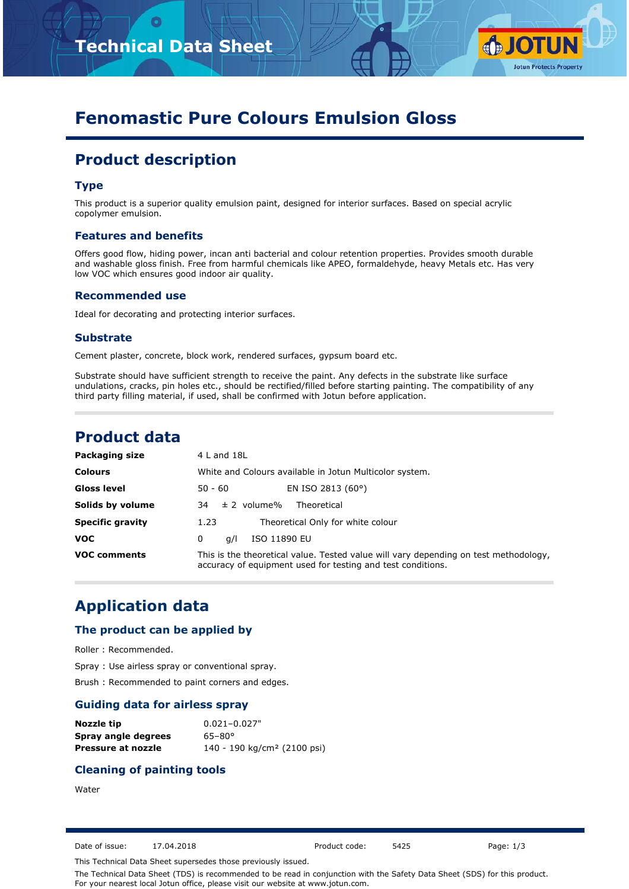



# **Fenomastic Pure Colours Emulsion Gloss**

# **Product description**

### **Type**

This product is a superior quality emulsion paint, designed for interior surfaces. Based on special acrylic copolymer emulsion.

#### **Features and benefits**

Offers good flow, hiding power, incan anti bacterial and colour retention properties. Provides smooth durable and washable gloss finish. Free from harmful chemicals like APEO, formaldehyde, heavy Metals etc. Has very low VOC which ensures good indoor air quality.

#### **Recommended use**

Ideal for decorating and protecting interior surfaces.

#### **Substrate**

Cement plaster, concrete, block work, rendered surfaces, gypsum board etc.

Substrate should have sufficient strength to receive the paint. Any defects in the substrate like surface undulations, cracks, pin holes etc., should be rectified/filled before starting painting. The compatibility of any third party filling material, if used, shall be confirmed with Jotun before application.

## **Product data**

| Packaging size          | $4$ L and $18$ L                                                                                                                                    |
|-------------------------|-----------------------------------------------------------------------------------------------------------------------------------------------------|
| <b>Colours</b>          | White and Colours available in Jotun Multicolor system.                                                                                             |
| <b>Gloss level</b>      | EN ISO 2813 (60°)<br>50 - 60                                                                                                                        |
| Solids by volume        | $\pm$ 2 volume%<br>Theoretical<br>34                                                                                                                |
| <b>Specific gravity</b> | Theoretical Only for white colour<br>1.23                                                                                                           |
| <b>VOC</b>              | ISO 11890 EU<br>0<br>a/l                                                                                                                            |
| <b>VOC comments</b>     | This is the theoretical value. Tested value will vary depending on test methodology,<br>accuracy of equipment used for testing and test conditions. |

# **Application data**

#### **The product can be applied by**

Roller : Recommended.

Spray : Use airless spray or conventional spray.

Brush : Recommended to paint corners and edges.

#### **Guiding data for airless spray**

| Nozzle tip          | $0.021 - 0.027$ "                       |
|---------------------|-----------------------------------------|
| Spray angle degrees | $65 - 80^{\circ}$                       |
| Pressure at nozzle  | 140 - 190 kg/cm <sup>2</sup> (2100 psi) |

### **Cleaning of painting tools**

**Water** 

Date of issue: 17.04.2018 Product code: 5425 Page: 1/3

This Technical Data Sheet supersedes those previously issued.

The Technical Data Sheet (TDS) is recommended to be read in conjunction with the Safety Data Sheet (SDS) for this product. For your nearest local Jotun office, please visit our website at www.jotun.com.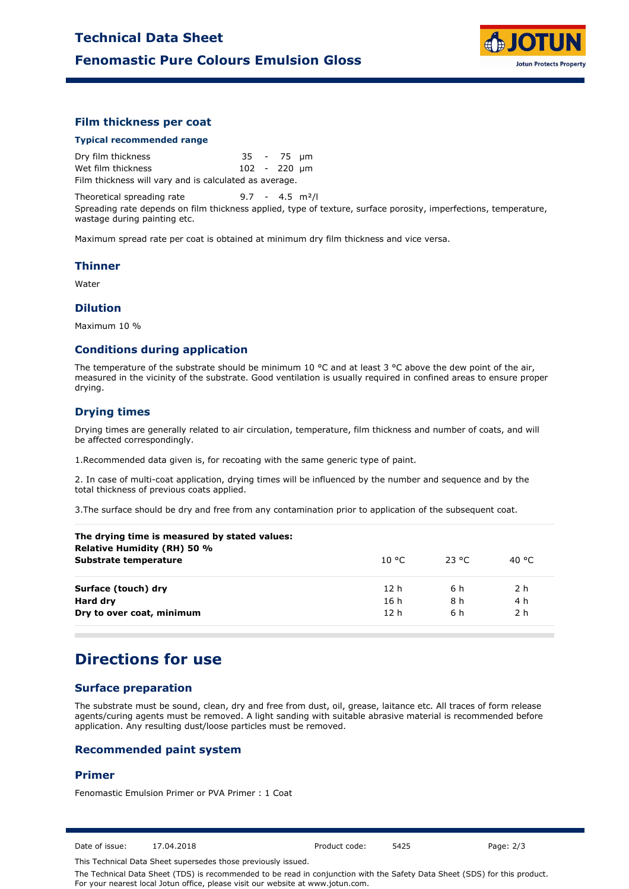

### **Film thickness per coat**

#### **Typical recommended range**

Dry film thickness 35 - 75 µm Wet film thickness 102 - 220 µm Film thickness will vary and is calculated as average.

Theoretical spreading rate 9.7 - 4.5 m<sup>2</sup>/l Spreading rate depends on film thickness applied, type of texture, surface porosity, imperfections, temperature, wastage during painting etc.

Maximum spread rate per coat is obtained at minimum dry film thickness and vice versa.

#### **Thinner**

Water

#### **Dilution**

Maximum 10 %

#### **Conditions during application**

The temperature of the substrate should be minimum 10 °C and at least 3 °C above the dew point of the air, measured in the vicinity of the substrate. Good ventilation is usually required in confined areas to ensure proper drying.

### **Drying times**

Drying times are generally related to air circulation, temperature, film thickness and number of coats, and will be affected correspondingly.

1.Recommended data given is, for recoating with the same generic type of paint.

2. In case of multi-coat application, drying times will be influenced by the number and sequence and by the total thickness of previous coats applied.

3.The surface should be dry and free from any contamination prior to application of the subsequent coat.

| The drying time is measured by stated values:<br><b>Relative Humidity (RH) 50 %</b> |                 |          |                |
|-------------------------------------------------------------------------------------|-----------------|----------|----------------|
| Substrate temperature                                                               | 10 °C.          | - 23 °C. | 40 °C          |
| Surface (touch) dry                                                                 | 12h             | 6 h      | 2 <sub>h</sub> |
| Hard dry                                                                            | 16 h            | 8 h      | 4 h            |
| Dry to over coat, minimum                                                           | 12 <sub>h</sub> | 6 h      | 2 h            |
|                                                                                     |                 |          |                |

# **Directions for use**

## **Surface preparation**

The substrate must be sound, clean, dry and free from dust, oil, grease, laitance etc. All traces of form release agents/curing agents must be removed. A light sanding with suitable abrasive material is recommended before application. Any resulting dust/loose particles must be removed.

#### **Recommended paint system**

#### **Primer**

Fenomastic Emulsion Primer or PVA Primer : 1 Coat

Date of issue: 17.04.2018 Product code: 5425 Page: 2/3

This Technical Data Sheet supersedes those previously issued.

The Technical Data Sheet (TDS) is recommended to be read in conjunction with the Safety Data Sheet (SDS) for this product. For your nearest local Jotun office, please visit our website at www.jotun.com.